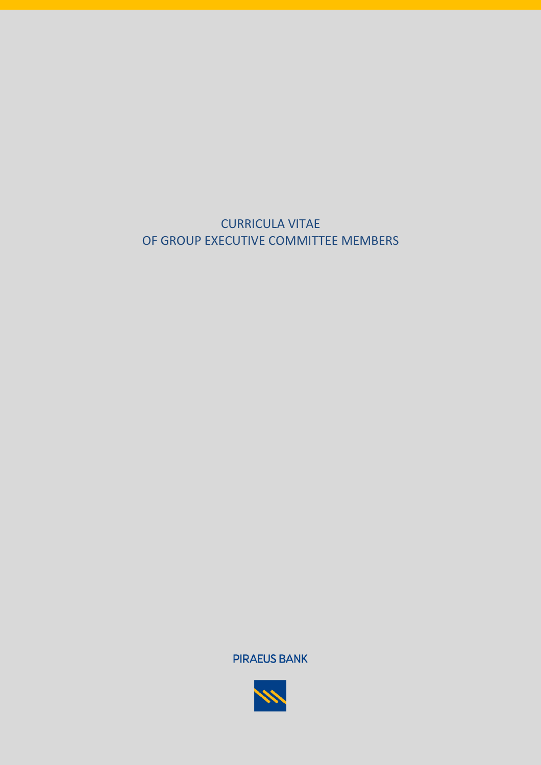

**PIRAEUS BANK** 

CURRICULA VITAE OF GROUP EXECUTIVE COMMITTEE MEMBERS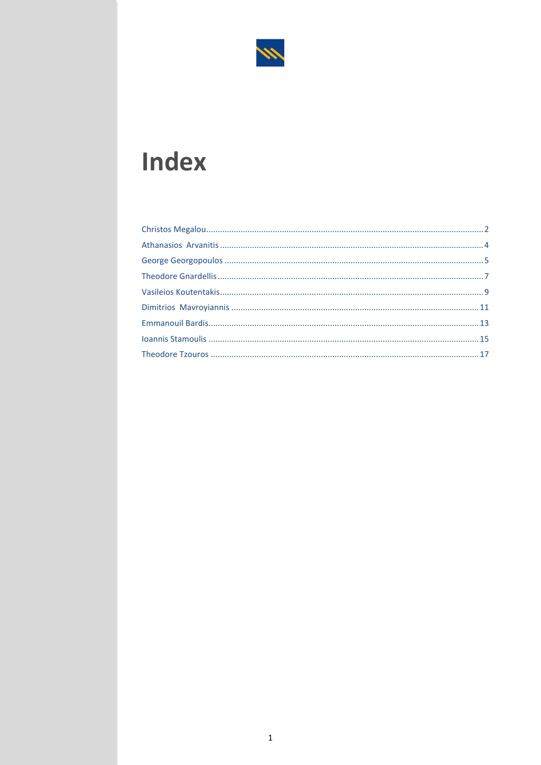

# **Index**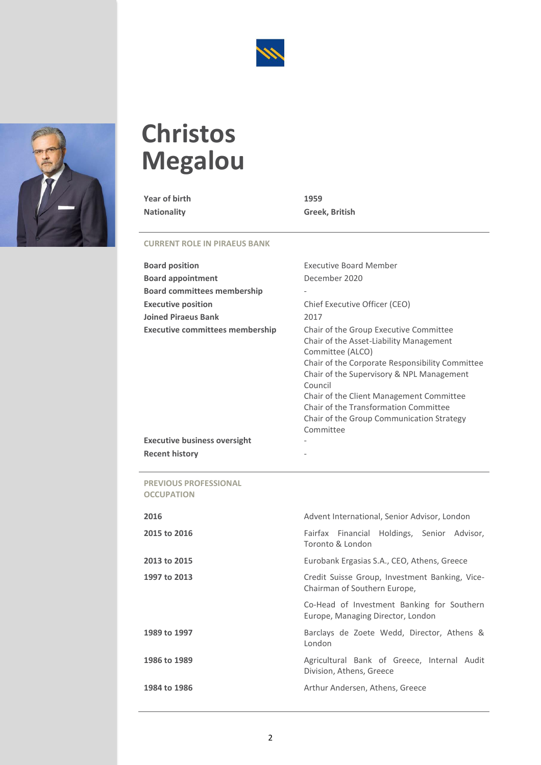



# <span id="page-2-0"></span>**Christos Megalou**

**Year of birth 1959**

**Nationality Greek, British**

### **CURRENT ROLE IN PIRAEUS BANK**

| <b>Board position</b>                  | <b>Executive Board Member</b>                                                                                                                                                                                                                                                                                                                                   |
|----------------------------------------|-----------------------------------------------------------------------------------------------------------------------------------------------------------------------------------------------------------------------------------------------------------------------------------------------------------------------------------------------------------------|
| <b>Board appointment</b>               | December 2020                                                                                                                                                                                                                                                                                                                                                   |
| <b>Board committees membership</b>     |                                                                                                                                                                                                                                                                                                                                                                 |
| <b>Executive position</b>              | Chief Executive Officer (CEO)                                                                                                                                                                                                                                                                                                                                   |
| <b>Joined Piraeus Bank</b>             | 2017                                                                                                                                                                                                                                                                                                                                                            |
| <b>Executive committees membership</b> | Chair of the Group Executive Committee<br>Chair of the Asset-Liability Management<br>Committee (ALCO)<br>Chair of the Corporate Responsibility Committee<br>Chair of the Supervisory & NPL Management<br>Council<br>Chair of the Client Management Committee<br>Chair of the Transformation Committee<br>Chair of the Group Communication Strategy<br>Committee |
| <b>Executive business oversight</b>    |                                                                                                                                                                                                                                                                                                                                                                 |
| <b>Recent history</b>                  |                                                                                                                                                                                                                                                                                                                                                                 |

**PREVIOUS PROFESSIONAL OCCUPATION**

| 2016         | Advent International, Senior Advisor, London                                    |
|--------------|---------------------------------------------------------------------------------|
| 2015 to 2016 | Fairfax Financial Holdings, Senior Advisor,<br>Toronto & London                 |
| 2013 to 2015 | Eurobank Ergasias S.A., CEO, Athens, Greece                                     |
| 1997 to 2013 | Credit Suisse Group, Investment Banking, Vice-<br>Chairman of Southern Europe,  |
|              | Co-Head of Investment Banking for Southern<br>Europe, Managing Director, London |
| 1989 to 1997 | Barclays de Zoete Wedd, Director, Athens &<br>London                            |
| 1986 to 1989 | Agricultural Bank of Greece, Internal Audit<br>Division, Athens, Greece         |
| 1984 to 1986 | Arthur Andersen, Athens, Greece                                                 |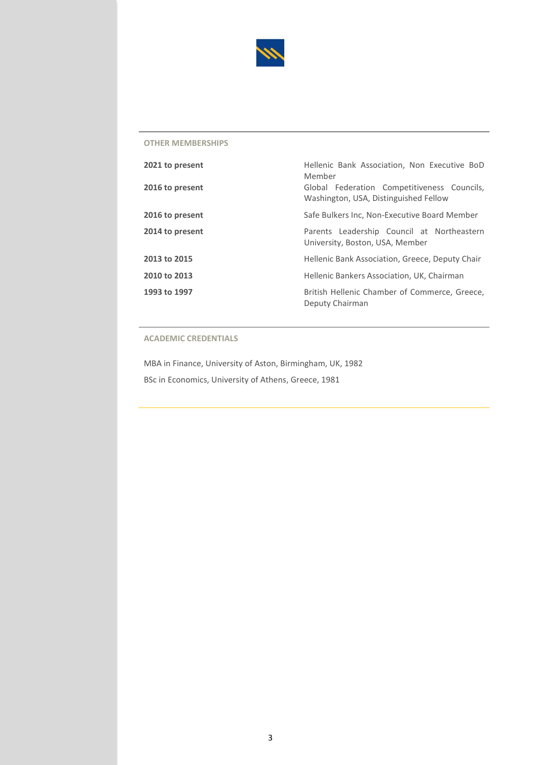

| 2021 to present | Hellenic Bank Association, Non Executive BoD<br>Member                               |
|-----------------|--------------------------------------------------------------------------------------|
| 2016 to present | Global Federation Competitiveness Councils,<br>Washington, USA, Distinguished Fellow |
| 2016 to present | Safe Bulkers Inc, Non-Executive Board Member                                         |
| 2014 to present | Parents Leadership Council at Northeastern<br>University, Boston, USA, Member        |
| 2013 to 2015    | Hellenic Bank Association, Greece, Deputy Chair                                      |
| 2010 to 2013    | Hellenic Bankers Association, UK, Chairman                                           |
| 1993 to 1997    | British Hellenic Chamber of Commerce, Greece,<br>Deputy Chairman                     |

### **ACADEMIC CREDENTIALS**

MBA in Finance, University of Aston, Birmingham, UK, 1982 BSc in Economics, University of Athens, Greece, 1981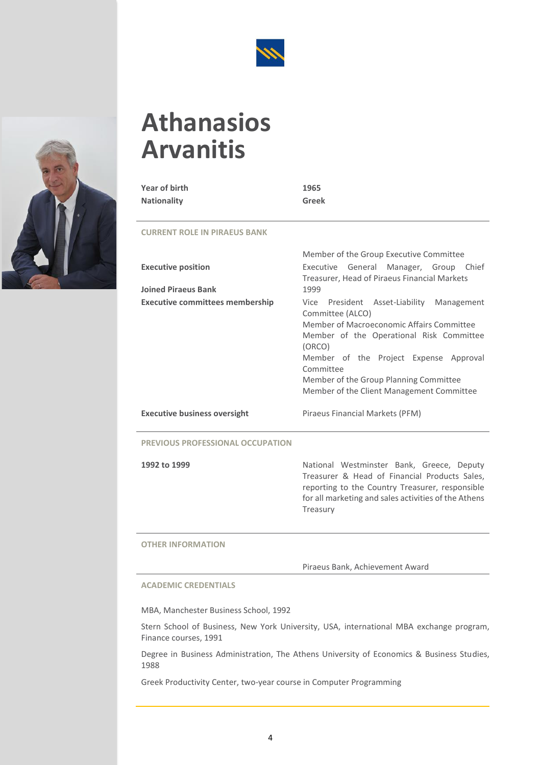



# <span id="page-4-0"></span>**Athanasios Arvanitis**

| Year of birth<br><b>Nationality</b>    | 1965<br><b>Greek</b>                                                                                                                                                                                                                                                                                           |
|----------------------------------------|----------------------------------------------------------------------------------------------------------------------------------------------------------------------------------------------------------------------------------------------------------------------------------------------------------------|
| <b>CURRENT ROLE IN PIRAEUS BANK</b>    |                                                                                                                                                                                                                                                                                                                |
|                                        | Member of the Group Executive Committee                                                                                                                                                                                                                                                                        |
| <b>Executive position</b>              | Executive General Manager, Group Chief<br>Treasurer, Head of Piraeus Financial Markets                                                                                                                                                                                                                         |
| <b>Joined Piraeus Bank</b>             | 1999                                                                                                                                                                                                                                                                                                           |
| <b>Executive committees membership</b> | Vice President Asset-Liability Management<br>Committee (ALCO)<br>Member of Macroeconomic Affairs Committee<br>Member of the Operational Risk Committee<br>(ORCO)<br>Member of the Project Expense Approval<br>Committee<br>Member of the Group Planning Committee<br>Member of the Client Management Committee |
| <b>Executive business oversight</b>    | Piraeus Financial Markets (PFM)                                                                                                                                                                                                                                                                                |

### **PREVIOUS PROFESSIONAL OCCUPATION**

**1992 to 1999** National Westminster Bank, Greece, Deputy Treasurer & Head of Financial Products Sales, reporting to the Country Treasurer, responsible for all marketing and sales activities of the Athens Treasury

### **OTHER INFORMATION**

Piraeus Bank, Achievement Award

### **ACADEMIC CREDENTIALS**

MBA, Manchester Business School, 1992

Stern School of Business, New York University, USA, international MBA exchange program, Finance courses, 1991

Degree in Business Administration, The Athens University of Economics & Business Studies, 1988

Greek Productivity Center, two-year course in Computer Programming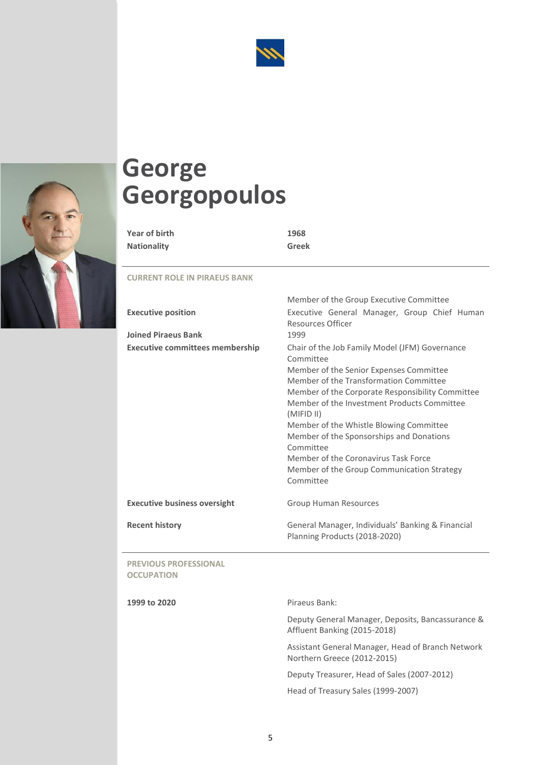



# <span id="page-5-0"></span>**George Georgopoulos**

| Year of birth      | 1968  |
|--------------------|-------|
| <b>Nationality</b> | Greek |

### **CURRENT ROLE IN PIRAEUS BANK**

|                                                         | Member of the Group Executive Committee                                                                                                                                                                                                                                                                                                                                                                                                                                  |
|---------------------------------------------------------|--------------------------------------------------------------------------------------------------------------------------------------------------------------------------------------------------------------------------------------------------------------------------------------------------------------------------------------------------------------------------------------------------------------------------------------------------------------------------|
| <b>Executive position</b><br><b>Joined Piraeus Bank</b> | Executive General Manager, Group Chief Human<br><b>Resources Officer</b><br>1999                                                                                                                                                                                                                                                                                                                                                                                         |
| <b>Executive committees membership</b>                  | Chair of the Job Family Model (JFM) Governance<br>Committee<br>Member of the Senior Expenses Committee<br>Member of the Transformation Committee<br>Member of the Corporate Responsibility Committee<br>Member of the Investment Products Committee<br>(MIFID II)<br>Member of the Whistle Blowing Committee<br>Member of the Sponsorships and Donations<br>Committee<br>Member of the Coronavirus Task Force<br>Member of the Group Communication Strategy<br>Committee |
| <b>Executive business oversight</b>                     | <b>Group Human Resources</b>                                                                                                                                                                                                                                                                                                                                                                                                                                             |
| <b>Recent history</b>                                   | General Manager, Individuals' Banking & Financial<br>Planning Products (2018-2020)                                                                                                                                                                                                                                                                                                                                                                                       |
| <b>PREVIOUS PROFESSIONAL</b><br><b>OCCUDATION</b>       |                                                                                                                                                                                                                                                                                                                                                                                                                                                                          |

**OCCUPATION**

 $\overline{\phantom{a}}$ 

**1999 to 2020** Piraeus Bank:

Deputy General Manager, Deposits, Bancassurance & Affluent Banking (2015-2018)

Assistant General Manager, Head of Branch Network Northern Greece (2012-2015)

Deputy Treasurer, Head of Sales (2007-2012)

Member of the Group Executive Committee

Head of Treasury Sales (1999-2007)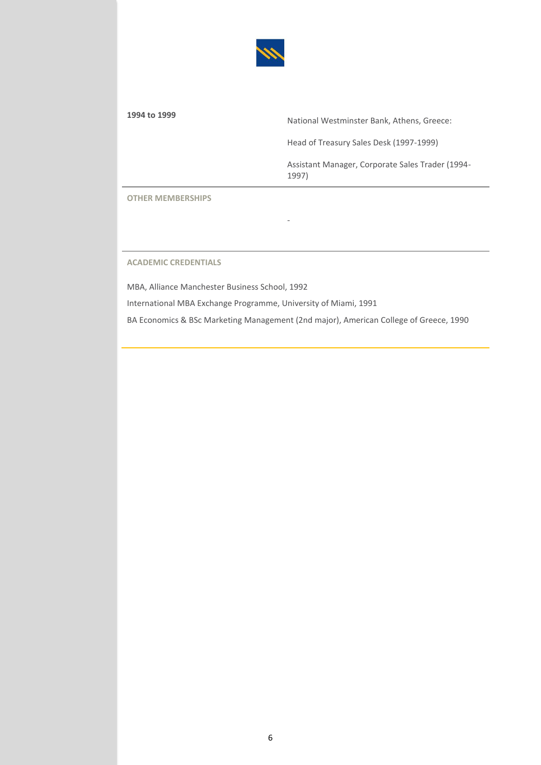

**<sup>1994</sup> to <sup>1999</sup>** National Westminster Bank, Athens, Greece:

Head of Treasury Sales Desk (1997-1999)

Assistant Manager, Corporate Sales Trader (1994- 1997)

**OTHER MEMBERSHIPS**

**ACADEMIC CREDENTIALS**

MBA, Alliance Manchester Business School, 1992

International MBA Exchange Programme, University of Miami, 1991

BA Economics & BSc Marketing Management (2nd major), American College of Greece, 1990

-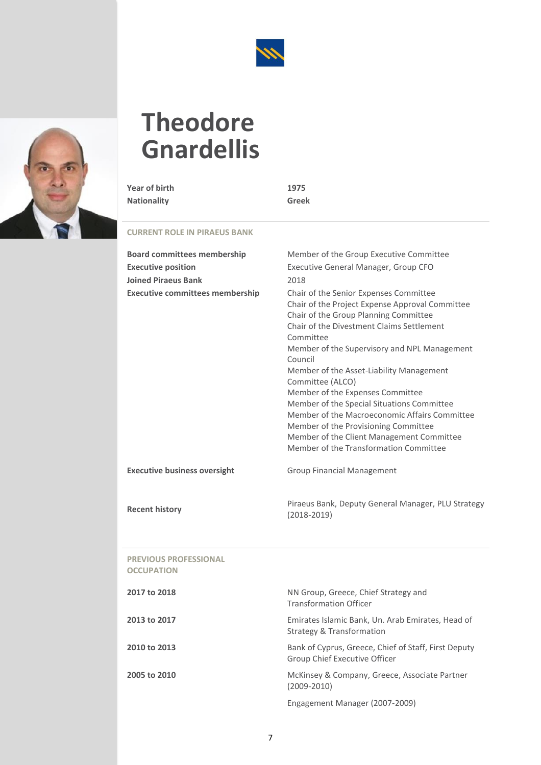

<span id="page-7-0"></span>

**Year of birth 1975 Nationality Greek**

| <b>Board committees membership</b>                | Member of the Group Executive Committee                                                                                                                                                                                                                                                                                                                                                                                                                                                                                                                                                   |
|---------------------------------------------------|-------------------------------------------------------------------------------------------------------------------------------------------------------------------------------------------------------------------------------------------------------------------------------------------------------------------------------------------------------------------------------------------------------------------------------------------------------------------------------------------------------------------------------------------------------------------------------------------|
| <b>Executive position</b>                         | Executive General Manager, Group CFO                                                                                                                                                                                                                                                                                                                                                                                                                                                                                                                                                      |
| <b>Joined Piraeus Bank</b>                        | 2018                                                                                                                                                                                                                                                                                                                                                                                                                                                                                                                                                                                      |
| <b>Executive committees membership</b>            | Chair of the Senior Expenses Committee<br>Chair of the Project Expense Approval Committee<br>Chair of the Group Planning Committee<br>Chair of the Divestment Claims Settlement<br>Committee<br>Member of the Supervisory and NPL Management<br>Council<br>Member of the Asset-Liability Management<br>Committee (ALCO)<br>Member of the Expenses Committee<br>Member of the Special Situations Committee<br>Member of the Macroeconomic Affairs Committee<br>Member of the Provisioning Committee<br>Member of the Client Management Committee<br>Member of the Transformation Committee |
| <b>Executive business oversight</b>               | <b>Group Financial Management</b>                                                                                                                                                                                                                                                                                                                                                                                                                                                                                                                                                         |
|                                                   |                                                                                                                                                                                                                                                                                                                                                                                                                                                                                                                                                                                           |
| <b>Recent history</b>                             | Piraeus Bank, Deputy General Manager, PLU Strategy<br>$(2018 - 2019)$                                                                                                                                                                                                                                                                                                                                                                                                                                                                                                                     |
| <b>PREVIOUS PROFESSIONAL</b><br><b>OCCUPATION</b> |                                                                                                                                                                                                                                                                                                                                                                                                                                                                                                                                                                                           |
| 2017 to 2018                                      | NN Group, Greece, Chief Strategy and<br><b>Transformation Officer</b>                                                                                                                                                                                                                                                                                                                                                                                                                                                                                                                     |
| 2013 to 2017                                      | Emirates Islamic Bank, Un. Arab Emirates, Head of<br><b>Strategy &amp; Transformation</b>                                                                                                                                                                                                                                                                                                                                                                                                                                                                                                 |
| 2010 to 2013                                      | Bank of Cyprus, Greece, Chief of Staff, First Deputy<br>Group Chief Executive Officer                                                                                                                                                                                                                                                                                                                                                                                                                                                                                                     |
| 2005 to 2010                                      | McKinsey & Company, Greece, Associate Partner<br>$(2009 - 2010)$                                                                                                                                                                                                                                                                                                                                                                                                                                                                                                                          |
|                                                   | Engagement Manager (2007-2009)                                                                                                                                                                                                                                                                                                                                                                                                                                                                                                                                                            |

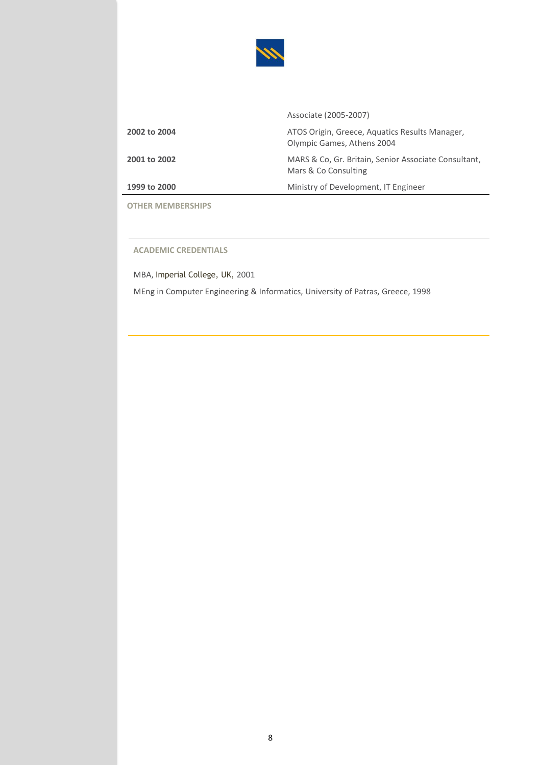

|                     | Associate (2005-2007)                                                        |
|---------------------|------------------------------------------------------------------------------|
| 2002 to 2004        | ATOS Origin, Greece, Aquatics Results Manager,<br>Olympic Games, Athens 2004 |
| <b>2001 to 2002</b> | MARS & Co, Gr. Britain, Senior Associate Consultant,<br>Mars & Co Consulting |
| 1999 to 2000        | Ministry of Development, IT Engineer                                         |
|                     |                                                                              |

**ACADEMIC CREDENTIALS**

MBA, Imperial College, UK, 2001 MEng in Computer Engineering & Informatics, University of Patras, Greece, 1998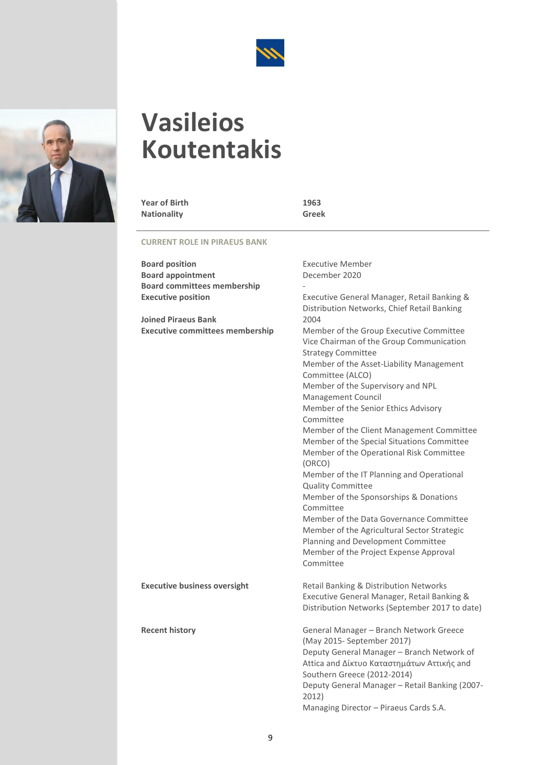

# <span id="page-9-0"></span>**Vasileios Koutentakis**

**Year of Birth 1963 Nationality** 

| <b>Board position</b>                  | <b>Executive Member</b>                                                                                                                                                                                                                                                                                                                                                                                                                                                                                                                                                                                                                                                                                                                                                  |
|----------------------------------------|--------------------------------------------------------------------------------------------------------------------------------------------------------------------------------------------------------------------------------------------------------------------------------------------------------------------------------------------------------------------------------------------------------------------------------------------------------------------------------------------------------------------------------------------------------------------------------------------------------------------------------------------------------------------------------------------------------------------------------------------------------------------------|
| <b>Board appointment</b>               | December 2020                                                                                                                                                                                                                                                                                                                                                                                                                                                                                                                                                                                                                                                                                                                                                            |
| <b>Board committees membership</b>     |                                                                                                                                                                                                                                                                                                                                                                                                                                                                                                                                                                                                                                                                                                                                                                          |
| <b>Executive position</b>              | Executive General Manager, Retail Banking &<br>Distribution Networks, Chief Retail Banking                                                                                                                                                                                                                                                                                                                                                                                                                                                                                                                                                                                                                                                                               |
| <b>Joined Piraeus Bank</b>             | 2004                                                                                                                                                                                                                                                                                                                                                                                                                                                                                                                                                                                                                                                                                                                                                                     |
| <b>Executive committees membership</b> | Member of the Group Executive Committee<br>Vice Chairman of the Group Communication<br><b>Strategy Committee</b><br>Member of the Asset-Liability Management<br>Committee (ALCO)<br>Member of the Supervisory and NPL<br>Management Council<br>Member of the Senior Ethics Advisory<br>Committee<br>Member of the Client Management Committee<br>Member of the Special Situations Committee<br>Member of the Operational Risk Committee<br>(ORCO)<br>Member of the IT Planning and Operational<br><b>Quality Committee</b><br>Member of the Sponsorships & Donations<br>Committee<br>Member of the Data Governance Committee<br>Member of the Agricultural Sector Strategic<br>Planning and Development Committee<br>Member of the Project Expense Approval<br>Committee |
| <b>Executive business oversight</b>    | Retail Banking & Distribution Networks<br>Executive General Manager, Retail Banking &<br>Distribution Networks (September 2017 to date)                                                                                                                                                                                                                                                                                                                                                                                                                                                                                                                                                                                                                                  |
| <b>Recent history</b>                  | General Manager - Branch Network Greece<br>(May 2015- September 2017)<br>Deputy General Manager - Branch Network of<br>Attica and Δίκτυο Καταστημάτων Αττικής and<br>Southern Greece (2012-2014)<br>Deputy General Manager - Retail Banking (2007-<br>2012)<br>Managing Director - Piraeus Cards S.A.                                                                                                                                                                                                                                                                                                                                                                                                                                                                    |

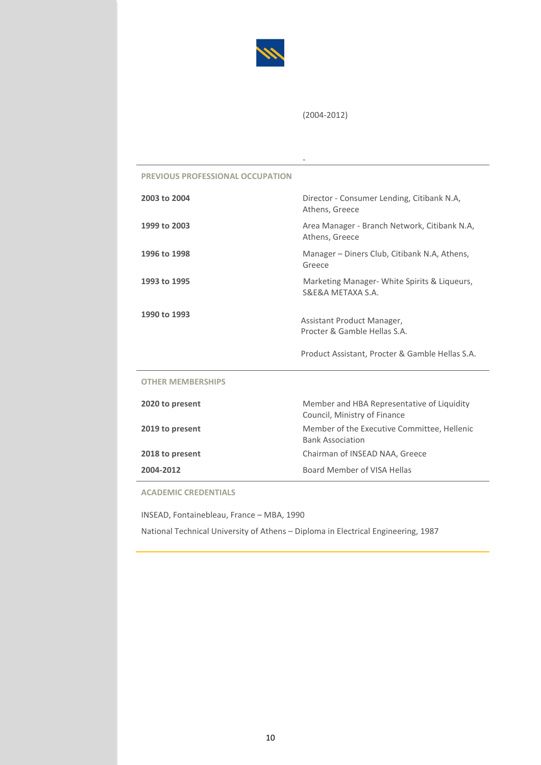

(2004-2012)

-

### **PREVIOUS PROFESSIONAL OCCUPATION**

| 2003 to 2004             | Director - Consumer Lending, Citibank N.A.<br>Athens, Greece               |
|--------------------------|----------------------------------------------------------------------------|
| 1999 to 2003             | Area Manager - Branch Network, Citibank N.A,<br>Athens, Greece             |
| 1996 to 1998             | Manager – Diners Club, Citibank N.A, Athens,<br>Greece                     |
| 1993 to 1995             | Marketing Manager- White Spirits & Liqueurs,<br>S&F&A MFTAXA S.A.          |
| 1990 to 1993             | Assistant Product Manager,<br>Procter & Gamble Hellas S.A.                 |
|                          | Product Assistant, Procter & Gamble Hellas S.A.                            |
| <b>OTHER MEMBERSHIPS</b> |                                                                            |
| 2020 to present          | Member and HBA Representative of Liquidity<br>Council, Ministry of Finance |
| 2019 to present          | Member of the Executive Committee, Hellenic<br><b>Bank Association</b>     |
| 2018 to present          | Chairman of INSEAD NAA, Greece                                             |
| 2004-2012                | Board Member of VISA Hellas                                                |

**ACADEMIC CREDENTIALS**

INSEAD, Fontainebleau, France – MBA, 1990

National Technical University of Athens – Diploma in Electrical Engineering, 1987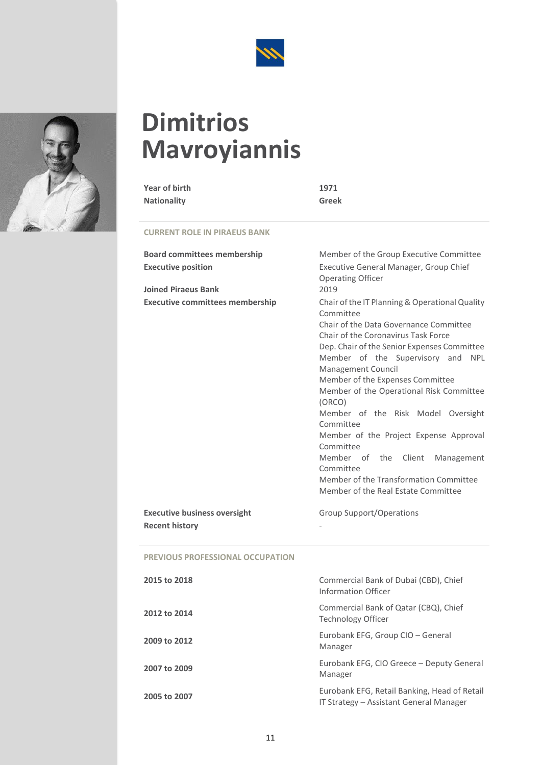

# **Dimitriοs Mavroyiannis**

**Year of birth 1971 Nationality Greek**

| <b>Board committees membership</b>      | Member of the Group Executive Committee                                                                                                                                                                                                                                                                                                                                                                                                                                                                                                                                                                         |
|-----------------------------------------|-----------------------------------------------------------------------------------------------------------------------------------------------------------------------------------------------------------------------------------------------------------------------------------------------------------------------------------------------------------------------------------------------------------------------------------------------------------------------------------------------------------------------------------------------------------------------------------------------------------------|
| <b>Executive position</b>               | Executive General Manager, Group Chief<br><b>Operating Officer</b>                                                                                                                                                                                                                                                                                                                                                                                                                                                                                                                                              |
| <b>Joined Piraeus Bank</b>              | 2019                                                                                                                                                                                                                                                                                                                                                                                                                                                                                                                                                                                                            |
| <b>Executive committees membership</b>  | Chair of the IT Planning & Operational Quality<br>Committee<br>Chair of the Data Governance Committee<br>Chair of the Coronavirus Task Force<br>Dep. Chair of the Senior Expenses Committee<br>Member of the Supervisory and<br><b>NPL</b><br><b>Management Council</b><br>Member of the Expenses Committee<br>Member of the Operational Risk Committee<br>(ORCO)<br>Member of the Risk Model Oversight<br>Committee<br>Member of the Project Expense Approval<br>Committee<br>Member of the Client<br>Management<br>Committee<br>Member of the Transformation Committee<br>Member of the Real Estate Committee |
| <b>Executive business oversight</b>     | Group Support/Operations                                                                                                                                                                                                                                                                                                                                                                                                                                                                                                                                                                                        |
| <b>Recent history</b>                   |                                                                                                                                                                                                                                                                                                                                                                                                                                                                                                                                                                                                                 |
| <b>DREVIOUS BROEFSCIONAL OCCURATION</b> |                                                                                                                                                                                                                                                                                                                                                                                                                                                                                                                                                                                                                 |

| <b>PREVIOUS PROFESSIONAL OCCUPATION</b> |  |  |  |
|-----------------------------------------|--|--|--|
|-----------------------------------------|--|--|--|

| 2015 to 2018 | Commercial Bank of Dubai (CBD), Chief<br>Information Officer                            |
|--------------|-----------------------------------------------------------------------------------------|
| 2012 to 2014 | Commercial Bank of Qatar (CBQ), Chief<br>Technology Officer                             |
| 2009 to 2012 | Eurobank EFG, Group CIO - General<br>Manager                                            |
| 2007 to 2009 | Eurobank EFG, CIO Greece - Deputy General<br>Manager                                    |
| 2005 to 2007 | Eurobank EFG, Retail Banking, Head of Retail<br>IT Strategy – Assistant General Manager |

<span id="page-11-0"></span>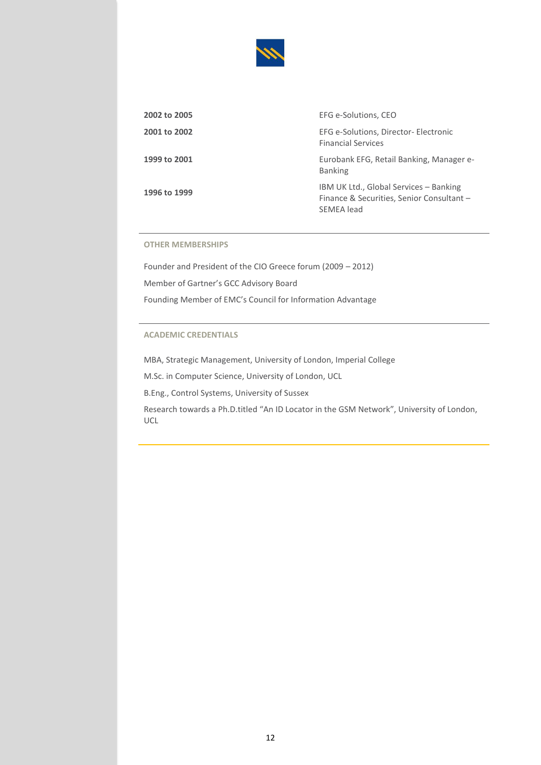

| 2002 to 2005 | EFG e-Solutions, CEO                                                                              |
|--------------|---------------------------------------------------------------------------------------------------|
| 2001 to 2002 | EFG e-Solutions, Director- Electronic<br><b>Financial Services</b>                                |
| 1999 to 2001 | Eurobank EFG, Retail Banking, Manager e-<br><b>Banking</b>                                        |
| 1996 to 1999 | IBM UK Ltd., Global Services - Banking<br>Finance & Securities, Senior Consultant -<br>SEMEA lead |

Founder and President of the CIO Greece forum (2009 – 2012) Member of Gartner's GCC Advisory Board Founding Member of EMC's Council for Information Advantage

### **ACADEMIC CREDENTIALS**

MBA, Strategic Management, University of London, Imperial College

M.Sc. in Computer Science, University of London, UCL

B.Eng., Control Systems, University of Sussex

Research towards a Ph.D.titled "An ID Locator in the GSM Network", University of London, UCL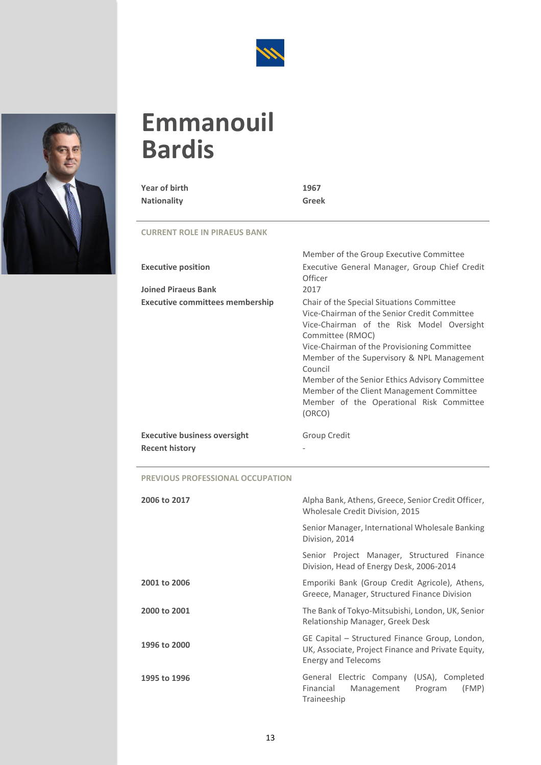

### <span id="page-13-0"></span>**Emmanouil Bardis**

### **Year of birth 1967 Nationality Greek**

### **CURRENT ROLE IN PIRAEUS BANK**

| <b>Executive position</b><br><b>Joined Piraeus Bank</b> | Member of the Group Executive Committee<br>Executive General Manager, Group Chief Credit<br>Officer<br>2017                                                                                                                                                                                                                                                                                                             |
|---------------------------------------------------------|-------------------------------------------------------------------------------------------------------------------------------------------------------------------------------------------------------------------------------------------------------------------------------------------------------------------------------------------------------------------------------------------------------------------------|
| <b>Executive committees membership</b>                  | Chair of the Special Situations Committee<br>Vice-Chairman of the Senior Credit Committee<br>Vice-Chairman of the Risk Model Oversight<br>Committee (RMOC)<br>Vice-Chairman of the Provisioning Committee<br>Member of the Supervisory & NPL Management<br>Council<br>Member of the Senior Ethics Advisory Committee<br>Member of the Client Management Committee<br>Member of the Operational Risk Committee<br>(ORCO) |
| <b>Executive business oversight</b>                     | Group Credit                                                                                                                                                                                                                                                                                                                                                                                                            |
| <b>Recent history</b>                                   |                                                                                                                                                                                                                                                                                                                                                                                                                         |

### **PREVIOUS PROFESSIONAL OCCUPATION**

| 2006 to 2017 | Alpha Bank, Athens, Greece, Senior Credit Officer,<br>Wholesale Credit Division, 2015                                              |  |
|--------------|------------------------------------------------------------------------------------------------------------------------------------|--|
|              | Senior Manager, International Wholesale Banking<br>Division, 2014                                                                  |  |
|              | Senior Project Manager, Structured Finance<br>Division, Head of Energy Desk, 2006-2014                                             |  |
| 2001 to 2006 | Emporiki Bank (Group Credit Agricole), Athens,<br>Greece, Manager, Structured Finance Division                                     |  |
| 2000 to 2001 | The Bank of Tokyo-Mitsubishi, London, UK, Senior<br>Relationship Manager, Greek Desk                                               |  |
| 1996 to 2000 | GE Capital - Structured Finance Group, London,<br>UK, Associate, Project Finance and Private Equity,<br><b>Energy and Telecoms</b> |  |
| 1995 to 1996 | General Electric Company (USA), Completed<br>Financial<br>Management Program<br>(FMP)<br>Traineeship                               |  |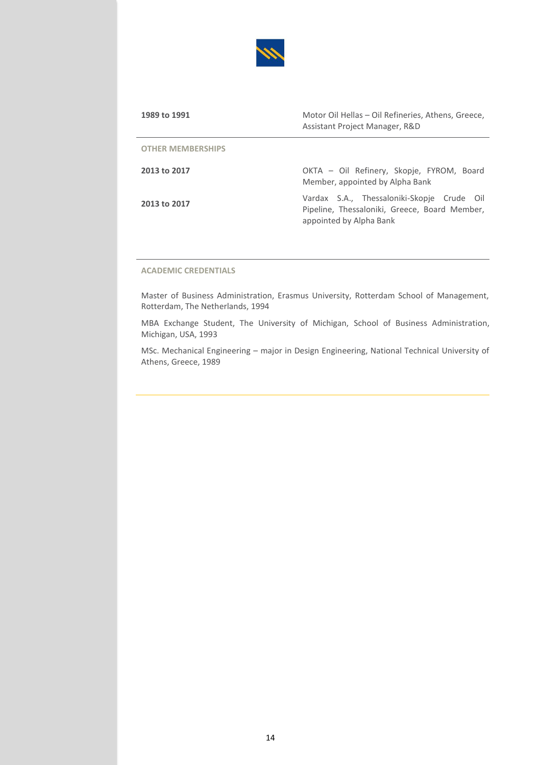

| 1989 to 1991             | Motor Oil Hellas - Oil Refineries, Athens, Greece,<br>Assistant Project Manager, R&D                                   |
|--------------------------|------------------------------------------------------------------------------------------------------------------------|
| <b>OTHER MEMBERSHIPS</b> |                                                                                                                        |
| 2013 to 2017             | OKTA – Oil Refinery, Skopje, FYROM, Board<br>Member, appointed by Alpha Bank                                           |
| 2013 to 2017             | Vardax S.A., Thessaloniki-Skopje Crude Oil<br>Pipeline, Thessaloniki, Greece, Board Member,<br>appointed by Alpha Bank |

### **ACADEMIC CREDENTIALS**

Master of Business Administration, Erasmus University, Rotterdam School of Management, Rotterdam, The Netherlands, 1994

MBA Exchange Student, The University of Michigan, School of Business Administration, Michigan, USA, 1993

MSc. Mechanical Engineering – major in Design Engineering, National Technical University of Athens, Greece, 1989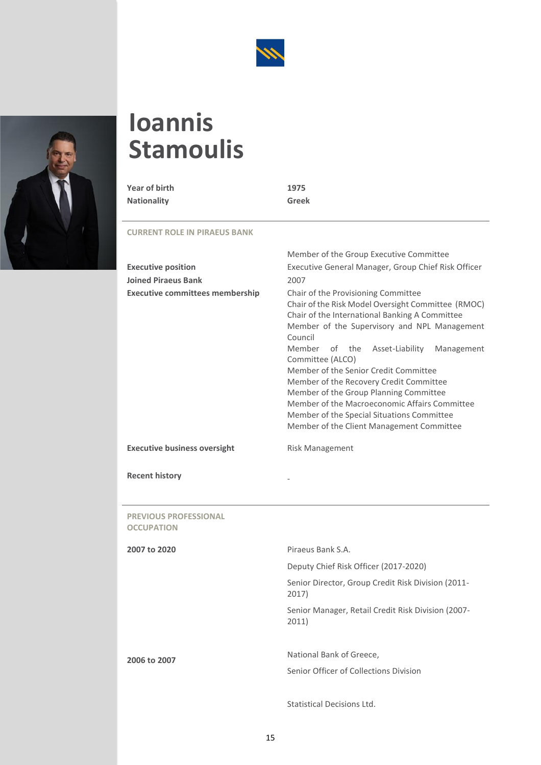



# <span id="page-15-0"></span>**Ioannis Stamoulis**

| Year of birth      | 1975  |
|--------------------|-------|
| <b>Nationality</b> | Greek |

**CURRENT ROLE IN PIRAEUS BANK**

|                                        | Member of the Group Executive Committee                                                                                                                                                                                                                                                                                                                                                                                                                                                                                                             |  |
|----------------------------------------|-----------------------------------------------------------------------------------------------------------------------------------------------------------------------------------------------------------------------------------------------------------------------------------------------------------------------------------------------------------------------------------------------------------------------------------------------------------------------------------------------------------------------------------------------------|--|
| <b>Executive position</b>              | Executive General Manager, Group Chief Risk Officer                                                                                                                                                                                                                                                                                                                                                                                                                                                                                                 |  |
| <b>Joined Piraeus Bank</b>             | 2007                                                                                                                                                                                                                                                                                                                                                                                                                                                                                                                                                |  |
| <b>Executive committees membership</b> | Chair of the Provisioning Committee<br>Chair of the Risk Model Oversight Committee (RMOC)<br>Chair of the International Banking A Committee<br>Member of the Supervisory and NPL Management<br>Council<br>Member of the Asset-Liability<br>Management<br>Committee (ALCO)<br>Member of the Senior Credit Committee<br>Member of the Recovery Credit Committee<br>Member of the Group Planning Committee<br>Member of the Macroeconomic Affairs Committee<br>Member of the Special Situations Committee<br>Member of the Client Management Committee |  |
| <b>Executive business oversight</b>    | Risk Management                                                                                                                                                                                                                                                                                                                                                                                                                                                                                                                                     |  |
|                                        |                                                                                                                                                                                                                                                                                                                                                                                                                                                                                                                                                     |  |

**Recent history** -

**PREVIOUS PROFESSIONAL OCCUPATION**

| 2007 to 2020 | Piraeus Bank S.A.                                           |
|--------------|-------------------------------------------------------------|
|              | Deputy Chief Risk Officer (2017-2020)                       |
|              | Senior Director, Group Credit Risk Division (2011-<br>2017) |
|              | Senior Manager, Retail Credit Risk Division (2007-<br>2011) |
| 2006 to 2007 | National Bank of Greece,                                    |
|              | Senior Officer of Collections Division                      |
|              |                                                             |

Statistical Decisions Ltd.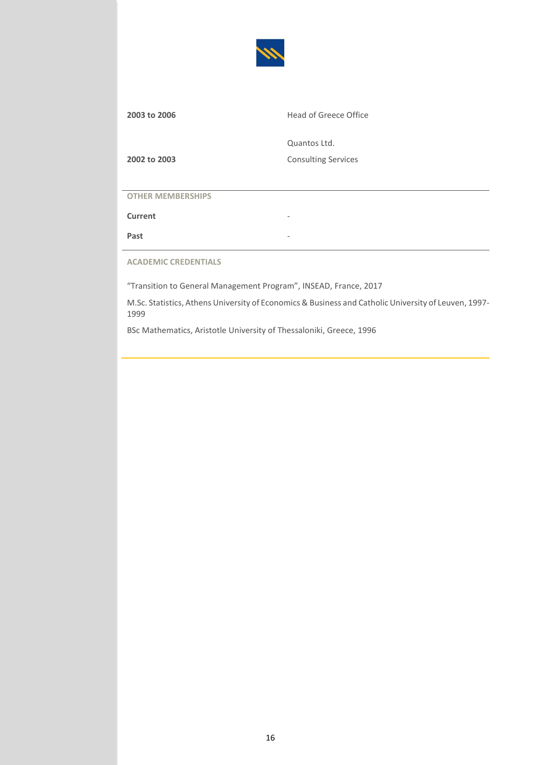

| 2003 to 2006 | Head of Greece Office      |
|--------------|----------------------------|
|              | Quantos Ltd.               |
| 2002 to 2003 | <b>Consulting Services</b> |

**Current** 

**Past** -

**ACADEMIC CREDENTIALS**

"Transition to General Management Program", INSEAD, France, 2017

M.Sc. Statistics, Athens University of Economics & Business and Catholic University of Leuven, 1997- 1999

BSc Mathematics, Aristotle University of Thessaloniki, Greece, 1996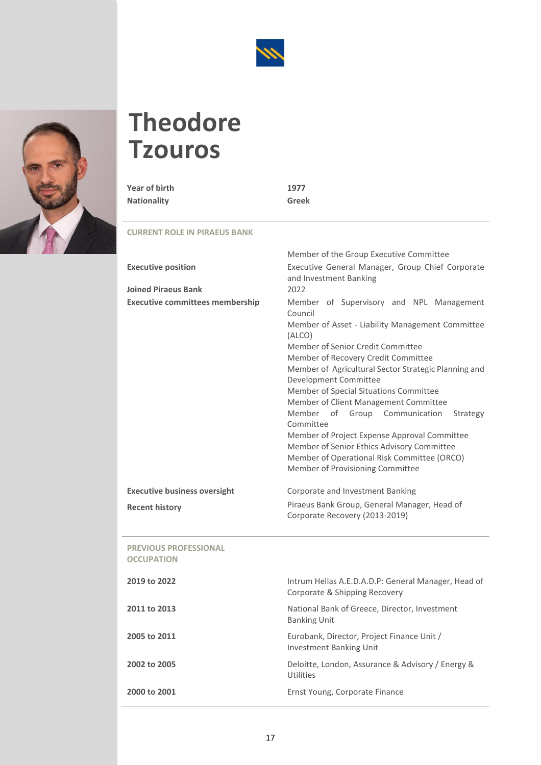

# <span id="page-17-0"></span>**Theodore Tzouros**

| Year of birth      | 1977  |
|--------------------|-------|
| <b>Nationality</b> | Greek |

|                                                   | Member of the Group Executive Committee                                                                                                                                                                                                                                                                                                                                                                                                                                                                                                                                                                      |
|---------------------------------------------------|--------------------------------------------------------------------------------------------------------------------------------------------------------------------------------------------------------------------------------------------------------------------------------------------------------------------------------------------------------------------------------------------------------------------------------------------------------------------------------------------------------------------------------------------------------------------------------------------------------------|
| <b>Executive position</b>                         | Executive General Manager, Group Chief Corporate<br>and Investment Banking                                                                                                                                                                                                                                                                                                                                                                                                                                                                                                                                   |
| <b>Joined Piraeus Bank</b>                        | 2022                                                                                                                                                                                                                                                                                                                                                                                                                                                                                                                                                                                                         |
| <b>Executive committees membership</b>            | Member of Supervisory and NPL Management<br>Council<br>Member of Asset - Liability Management Committee<br>(ALCO)<br>Member of Senior Credit Committee<br>Member of Recovery Credit Committee<br>Member of Agricultural Sector Strategic Planning and<br>Development Committee<br>Member of Special Situations Committee<br>Member of Client Management Committee<br>Member of Group Communication<br>Strategy<br>Committee<br>Member of Project Expense Approval Committee<br>Member of Senior Ethics Advisory Committee<br>Member of Operational Risk Committee (ORCO)<br>Member of Provisioning Committee |
| <b>Executive business oversight</b>               | Corporate and Investment Banking                                                                                                                                                                                                                                                                                                                                                                                                                                                                                                                                                                             |
| <b>Recent history</b>                             | Piraeus Bank Group, General Manager, Head of<br>Corporate Recovery (2013-2019)                                                                                                                                                                                                                                                                                                                                                                                                                                                                                                                               |
| <b>PREVIOUS PROFESSIONAL</b><br><b>OCCUPATION</b> |                                                                                                                                                                                                                                                                                                                                                                                                                                                                                                                                                                                                              |
| 2019 to 2022                                      | Intrum Hellas A.E.D.A.D.P: General Manager, Head of<br>Corporate & Shipping Recovery                                                                                                                                                                                                                                                                                                                                                                                                                                                                                                                         |
| 2011 to 2013                                      | National Bank of Greece, Director, Investment<br><b>Banking Unit</b>                                                                                                                                                                                                                                                                                                                                                                                                                                                                                                                                         |
| 2005 to 2011                                      | Eurobank, Director, Project Finance Unit /<br><b>Investment Banking Unit</b>                                                                                                                                                                                                                                                                                                                                                                                                                                                                                                                                 |
| 2002 to 2005                                      | Deloitte, London, Assurance & Advisory / Energy &                                                                                                                                                                                                                                                                                                                                                                                                                                                                                                                                                            |
|                                                   | <b>Utilities</b>                                                                                                                                                                                                                                                                                                                                                                                                                                                                                                                                                                                             |